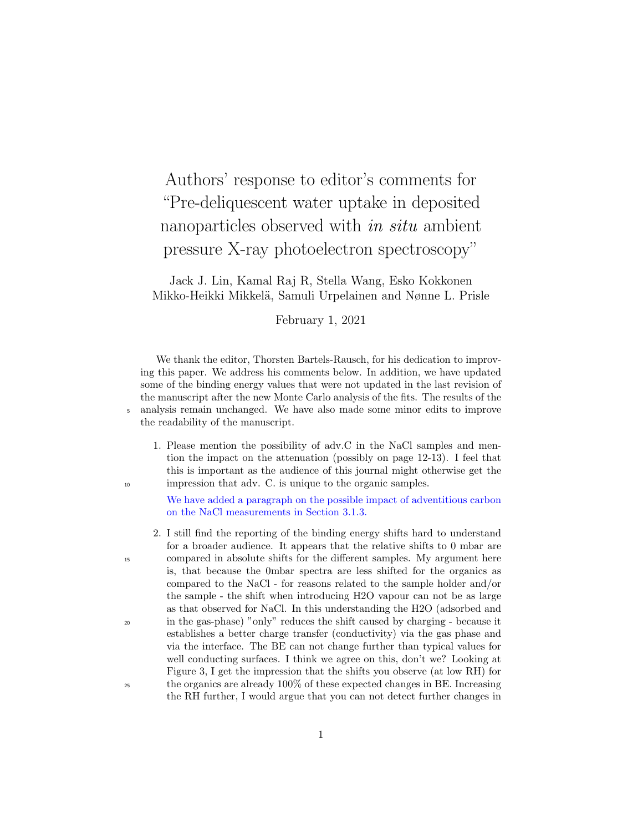Authors' response to editor's comments for "Pre-deliquescent water uptake in deposited nanoparticles observed with *in situ* ambient pressure X-ray photoelectron spectroscopy"

Jack J. Lin, Kamal Raj R, Stella Wang, Esko Kokkonen Mikko-Heikki Mikkelä, Samuli Urpelainen and Nønne L. Prisle

February 1, 2021

We thank the editor, Thorsten Bartels-Rausch, for his dedication to improving this paper. We address his comments below. In addition, we have updated some of the binding energy values that were not updated in the last revision of the manuscript after the new Monte Carlo analysis of the fits. The results of the <sup>5</sup> analysis remain unchanged. We have also made some minor edits to improve the readability of the manuscript.

1. Please mention the possibility of adv.C in the NaCl samples and mention the impact on the attenuation (possibly on page 12-13). I feel that this is important as the audience of this journal might otherwise get the <sup>10</sup> impression that adv. C. is unique to the organic samples.

> We have added a paragraph on the possible impact of adventitious carbon on the NaCl measurements in Section 3.1.3.

2. I still find the reporting of the binding energy shifts hard to understand for a broader audience. It appears that the relative shifts to 0 mbar are <sup>15</sup> compared in absolute shifts for the different samples. My argument here is, that because the 0mbar spectra are less shifted for the organics as compared to the NaCl - for reasons related to the sample holder and/or the sample - the shift when introducing H2O vapour can not be as large as that observed for NaCl. In this understanding the H2O (adsorbed and <sup>20</sup> in the gas-phase) "only" reduces the shift caused by charging - because it establishes a better charge transfer (conductivity) via the gas phase and via the interface. The BE can not change further than typical values for well conducting surfaces. I think we agree on this, don't we? Looking at Figure 3, I get the impression that the shifts you observe (at low RH) for <sup>25</sup> the organics are already 100% of these expected changes in BE. Increasing the RH further, I would argue that you can not detect further changes in